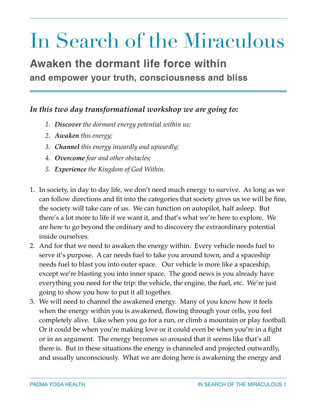## In Search of the Miraculous

### **Awaken the dormant life force within and empower your truth, consciousness and bliss**

#### *In this two day transformational workshop we are going to:*

- *1. Discover the dormant energy potential within us;*
- *2. Awaken this energy;*
- *3. Channel this energy inwardly and upwardly;*
- *4. Overcome fear and other obstacles;*
- *5. Experience the Kingdom of God Within.*
- 1. In society, in day to day life, we don't need much energy to survive. As long as we can follow directions and fit into the categories that society gives us we will be fine, the society will take care of us. We can function on autopilot, half asleep. But there's a lot more to life if we want it, and that's what we're here to explore. We are here to go beyond the ordinary and to discovery the extraordinary potential inside ourselves.
- 2. And for that we need to awaken the energy within. Every vehicle needs fuel to serve it's purpose. A car needs fuel to take you around town, and a spaceship needs fuel to blast you into outer space. Our vehicle is more like a spaceship, except we're blasting you into inner space. The good news is you already have everything you need for the trip: the vehicle, the engine, the fuel, etc. We're just going to show you how to put it all together.
- 3. We will need to channel the awakened energy. Many of you know how it feels when the energy within you is awakened, flowing through your cells, you feel completely alive. Like when you go for a run, or climb a mountain or play football. Or it could be when you're making love or it could even be when you're in a fight or in an argument. The energy becomes so aroused that it seems like that's all there is. But in these situations the energy is channeled and projected outwardly, and usually unconsciously. What we are doing here is awakening the energy and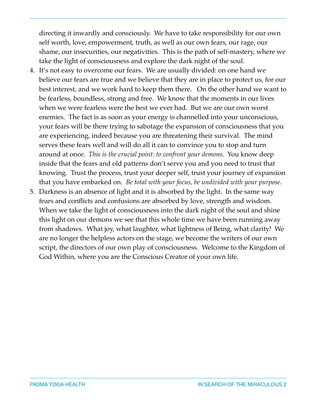directing it inwardly and consciously. We have to take responsibility for our own self worth, love, empowerment, truth, as well as our own fears, our rage, our shame, our insecurities, our negativities. This is the path of self-mastery, where we take the light of consciousness and explore the dark night of the soul.

- 4. It's not easy to overcome our fears. We are usually divided: on one hand we believe our fears are true and we believe that they are in place to protect us, for our best interest, and we work hard to keep them there. On the other hand we want to be fearless, boundless, strong and free. We know that the moments in our lives when we were fearless were the best we ever had. But we are our own worst enemies. The fact is as soon as your energy is channelled into your unconscious, your fears will be there trying to sabotage the expansion of consciousness that you are experiencing, indeed because you are threatening their survival. The mind serves these fears well and will do all it can to convince you to stop and turn around at once. *This is the crucial point: to confront your demons.* You know deep inside that the fears and old patterns don't serve you and you need to trust that knowing. Trust the process, trust your deeper self, trust your journey of expansion that you have embarked on. *Be total with your focus, be undivided with your purpose.*
- 5. Darkness is an absence of light and it is absorbed by the light. In the same way fears and conflicts and confusions are absorbed by love, strength and wisdom. When we take the light of consciousness into the dark night of the soul and shine this light on our demons we see that this whole time we have been running away from shadows. What joy, what laughter, what lightness of Being, what clarity! We are no longer the helpless actors on the stage, we become the writers of our own script, the directors of our own play of consciousness. Welcome to the Kingdom of God Within, where you are the Conscious Creator of your own life.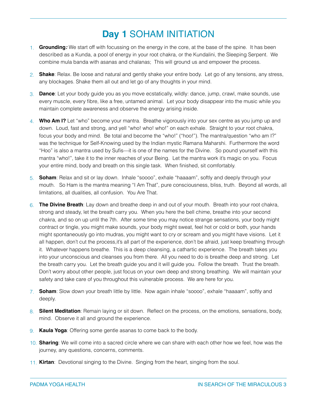#### **Day 1** SOHAM INITIATION

- 1. **Grounding***:* We start off with focussing on the energy in the core, at the base of the spine. It has been described as a Kunda, a pool of energy in your root chakra, or the Kundalini, the Sleeping Serpent. We combine mula banda with asanas and chalanas; This will ground us and empower the process.
- 2. **Shake**: Relax. Be loose and natural and gently shake your entire body. Let go of any tensions, any stress, any blockages. Shake them all out and let go of any thoughts in your mind.
- 3. **Dance**: Let your body guide you as you move ecstatically, wildly: dance, jump, crawl, make sounds, use every muscle, every fibre, like a free, untamed animal. Let your body disappear into the music while you maintain complete awareness and observe the energy arising inside.
- 4. **Who Am I?** Let "who" become your mantra. Breathe vigorously into your sex centre as you jump up and down. Loud, fast and strong, and yell "who! who! who!" on each exhale. Straight to your root chakra, focus your body and mind. Be total and become the "who!" ("hoo!"). The mantra/question "who am I?" was the technique for Self-Knowing used by the Indian mystic Ramana Maharshi. Furthermore the word "Hoo" is also a mantra used by Sufis—it is one of the names for the Divine. So pound yourself with this mantra "who!", take it to the inner reaches of your Being. Let the mantra work it's magic on you. Focus your entire mind, body and breath on this single task. When finished, sit comfortably.
- 5. **Soham**: Relax and sit or lay down. Inhale "soooo", exhale "haaaam", softly and deeply through your mouth. So Ham is the mantra meaning "I Am That", pure consciousness, bliss, truth. Beyond all words, all limitations, all dualities, all confusion. You Are That.
- 6. **The Divine Breath**: Lay down and breathe deep in and out of your mouth. Breath into your root chakra, strong and steady, let the breath carry you. When you here the bell chime, breathe into your second chakra, and so on up until the 7th. After some time you may notice strange sensations, your body might contract or tingle, you might make sounds, your body might sweat, feel hot or cold or both, your hands might spontaneously go into mudras, you might want to cry or scream and you might have visions. Let it all happen, don't cut the process,it's all part of the experience, don't be afraid, just keep breathing through it. Whatever happens breathe. This is a deep cleansing, a cathartic experience. The breath takes you into your unconscious and cleanses you from there. All you need to do is breathe deep and strong. Let the breath carry you. Let the breath guide you and it will guide you. Follow the breath. Trust the breath. Don't worry about other people, just focus on your own deep and strong breathing. We will maintain your safety and take care of you throughout this vulnerable process. We are here for you.
- 7. **Soham**: Slow down your breath little by little. Now again inhale "soooo", exhale "haaaam", softly and deeply.
- 8. **Silent Meditation**: Remain laying or sit down. Reflect on the process, on the emotions, sensations, body, mind. Observe it all and ground the experience.
- 9. **Kaula Yoga**: Offering some gentle asanas to come back to the body.
- 10. **Sharing**: We will come into a sacred circle where we can share with each other how we feel, how was the journey, any questions, concerns, comments.
- 11. **Kirtan**: Devotional singing to the Divine. Singing from the heart, singing from the soul.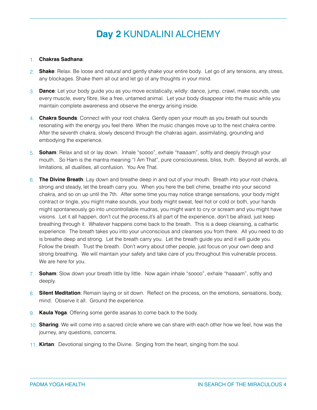#### **Day 2** KUNDALINI ALCHEMY

#### 1. **Chakras Sadhana**:

- 2. **Shake**: Relax. Be loose and natural and gently shake your entire body. Let go of any tensions, any stress, any blockages. Shake them all out and let go of any thoughts in your mind.
- 3. **Dance**: Let your body guide you as you move ecstatically, wildly: dance, jump, crawl, make sounds, use every muscle, every fibre, like a free, untamed animal. Let your body disappear into the music while you maintain complete awareness and observe the energy arising inside.
- 4. **Chakra Sounds**: Connect with your root chakra. Gently open your mouth as you breath out sounds resonating with the energy you feel there. When the music changes move up to the next chakra centre. After the seventh chakra, slowly descend through the chakras again, assimilating, grounding and embodying the experience.
- 5. **Soham**: Relax and sit or lay down. Inhale "soooo", exhale "haaaam", softly and deeply through your mouth. So Ham is the mantra meaning "I Am That", pure consciousness, bliss, truth. Beyond all words, all limitations, all dualities, all confusion. You Are That.
- 6. **The Divine Breath**: Lay down and breathe deep in and out of your mouth. Breath into your root chakra, strong and steady, let the breath carry you. When you here the bell chime, breathe into your second chakra, and so on up until the 7th. After some time you may notice strange sensations, your body might contract or tingle, you might make sounds, your body might sweat, feel hot or cold or both, your hands might spontaneously go into uncontrollable mudras, you might want to cry or scream and you might have visions. Let it all happen, don't cut the process,it's all part of the experience, don't be afraid, just keep breathing through it. Whatever happens come back to the breath. This is a deep cleansing, a cathartic experience. The breath takes you into your unconscious and cleanses you from there. All you need to do is breathe deep and strong. Let the breath carry you. Let the breath guide you and it will guide you. Follow the breath. Trust the breath. Don't worry about other people, just focus on your own deep and strong breathing. We will maintain your safety and take care of you throughout this vulnerable process. We are here for you.
- 7. **Soham**: Slow down your breath little by little. Now again inhale "soooo", exhale "haaaam", softly and deeply.
- 8. **Silent Meditation**: Remain laying or sit down. Reflect on the process, on the emotions, sensations, body, mind. Observe it all. Ground the experience.
- 9. **Kaula Yoga**: Offering some gentle asanas to come back to the body.
- 10. **Sharing**: We will come into a sacred circle where we can share with each other how we feel, how was the journey, any questions, concerns.
- 11. **Kirtan**: Devotional singing to the Divine. Singing from the heart, singing from the soul.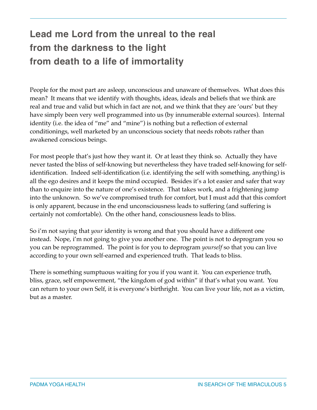### **Lead me Lord from the unreal to the real from the darkness to the light from death to a life of immortality**

People for the most part are asleep, unconscious and unaware of themselves. What does this mean? It means that we identify with thoughts, ideas, ideals and beliefs that we think are real and true and valid but which in fact are not, and we think that they are 'ours' but they have simply been very well programmed into us (by innumerable external sources). Internal identity (i.e. the idea of "me" and "mine") is nothing but a reflection of external conditionings, well marketed by an unconscious society that needs robots rather than awakened conscious beings.

For most people that's just how they want it. Or at least they think so. Actually they have never tasted the bliss of self-knowing but nevertheless they have traded self-knowing for selfidentification. Indeed self-identification (i.e. identifying the self with something, anything) is all the ego desires and it keeps the mind occupied. Besides it's a lot easier and safer that way than to enquire into the nature of one's existence. That takes work, and a frightening jump into the unknown. So we've compromised truth for comfort, but I must add that this comfort is only apparent, because in the end unconsciousness leads to suffering (and suffering is certainly not comfortable). On the other hand, consciousness leads to bliss.

So i'm not saying that *your* identity is wrong and that you should have a different one instead. Nope, i'm not going to give you another one. The point is not to deprogram you so you can be reprogrammed. The point is for you to deprogram *yourself* so that you can live according to your own self-earned and experienced truth. That leads to bliss.

There is something sumptuous waiting for you if you want it. You can experience truth, bliss, grace, self empowerment, "the kingdom of god within" if that's what you want. You can return to your own Self, it is everyone's birthright. You can live your life, not as a victim, but as a master.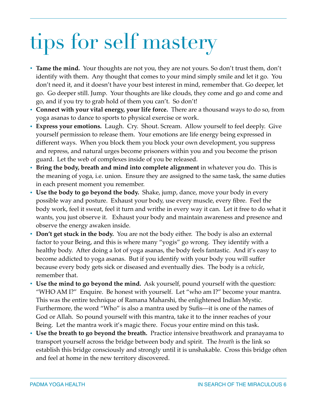# tips for self mastery

- **Tame the mind.** Your thoughts are not you, they are not yours. So don't trust them, don't identify with them. Any thought that comes to your mind simply smile and let it go. You don't need it, and it doesn't have your best interest in mind, remember that. Go deeper, let go. Go deeper still. Jump. Your thoughts are like clouds, they come and go and come and go, and if you try to grab hold of them you can't. So don't!
- **Connect with your vital energy, your life force.** There are a thousand ways to do so, from yoga asanas to dance to sports to physical exercise or work.
- **Express your emotions.** Laugh. Cry. Shout. Scream. Allow yourself to feel deeply. Give yourself permission to release them. Your emotions are life energy being expressed in different ways. When you block them you block your own development, you suppress and repress, and natural urges become prisoners within you and you become the prison guard. Let the web of complexes inside of you be released.
- **Bring the body, breath and mind into complete alignment** in whatever you do. This is the meaning of yoga, i.e. union. Ensure they are assigned to the same task, the same duties in each present moment you remember.
- **Use the body to go beyond the body.** Shake, jump, dance, move your body in every possible way and posture. Exhaust your body, use every muscle, every fibre. Feel the body work, feel it sweat, feel it turn and writhe in every way it can. Let it free to do what it wants, you just observe it. Exhaust your body and maintain awareness and presence and observe the energy awaken inside.
- **Don't get stuck in the body.** You are not the body either. The body is also an external factor to your Being, and this is where many "yogis" go wrong. They identify with a healthy body. After doing a lot of yoga asanas, the body feels fantastic. And it's easy to become addicted to yoga asanas. But if you identify with your body you will suffer because every body gets sick or diseased and eventually dies. The body is a *vehicle*, remember that.
- **Use the mind to go beyond the mind.** Ask yourself, pound yourself with the question: "WHO AM I?" Enquire. Be honest with yourself. Let "who am I?" become your mantra. This was the entire technique of Ramana Maharshi, the enlightened Indian Mystic. Furthermore, the word "Who" is also a mantra used by Sufis—it is one of the names of God or Allah. So pound yourself with this mantra, take it to the inner reaches of your Being. Let the mantra work it's magic there. Focus your entire mind on this task.
- **Use the breath to go beyond the breath.** Practice intensive breathwork and pranayama to transport yourself across the bridge between body and spirit. The *breath* is the link so establish this bridge consciously and strongly until it is unshakable. Cross this bridge often and feel at home in the new territory discovered.